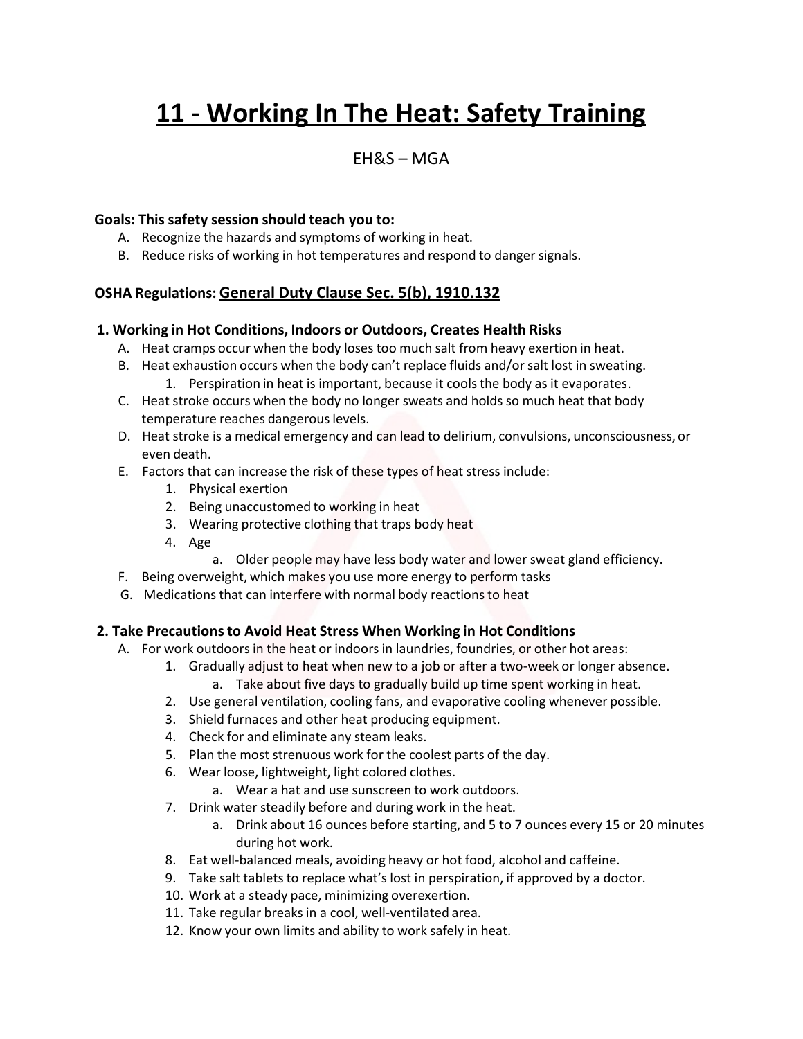# **11 - Working In The Heat: Safety Training**

# $FHRS - MGA$

#### **Goals: This safety session should teach you to:**

- A. Recognize the hazards and symptoms of working in heat.
- B. Reduce risks of working in hot temperatures and respond to dangersignals.

## **OSHA Regulations: General Duty Clause Sec. 5(b), 1910.132**

#### **1. Working in Hot Conditions, Indoors or Outdoors, Creates Health Risks**

- A. Heat cramps occur when the body loses too much salt from heavy exertion in heat.
- B. Heat exhaustion occurs when the body can't replace fluids and/orsalt lost in sweating. 1. Perspiration in heat is important, because it coolsthe body as it evaporates.
- C. Heat stroke occurs when the body no longer sweats and holds so much heat that body temperature reaches dangerous levels.
- D. Heat stroke is a medical emergency and can lead to delirium, convulsions, unconsciousness, or even death.
- E. Factors that can increase the risk of these types of heat stress include:
	- 1. Physical exertion
	- 2. Being unaccustomed to working in heat
	- 3. Wearing protective clothing that traps body heat
	- 4. Age
		- a. Older people may have less body water and lower sweat gland efficiency.
- F. Being overweight, which makes you use more energy to perform tasks
- G. Medications that can interfere with normal body reactions to heat

#### **2. Take Precautionsto Avoid Heat Stress When Working in Hot Conditions**

- A. For work outdoorsin the heat or indoors in laundries, foundries, or other hot areas:
	- 1. Gradually adjust to heat when new to a job or after a two-week or longer absence.
		- a. Take about five days to gradually build up time spent working in heat.
	- 2. Use general ventilation, cooling fans, and evaporative cooling whenever possible.
	- 3. Shield furnaces and other heat producing equipment.
	- 4. Check for and eliminate any steam leaks.
	- 5. Plan the most strenuous work for the coolest parts of the day.
	- 6. Wear loose, lightweight, light colored clothes.
		- a. Wear a hat and use sunscreen to work outdoors.
	- 7. Drink water steadily before and during work in the heat.
		- a. Drink about 16 ounces before starting, and 5 to 7 ounces every 15 or 20 minutes during hot work.
	- 8. Eat well-balanced meals, avoiding heavy or hot food, alcohol and caffeine.
	- 9. Take salt tablets to replace what's lost in perspiration, if approved by a doctor.
	- 10. Work at a steady pace, minimizing overexertion.
	- 11. Take regular breaks in a cool, well-ventilated area.
	- 12. Know your own limits and ability to work safely in heat.